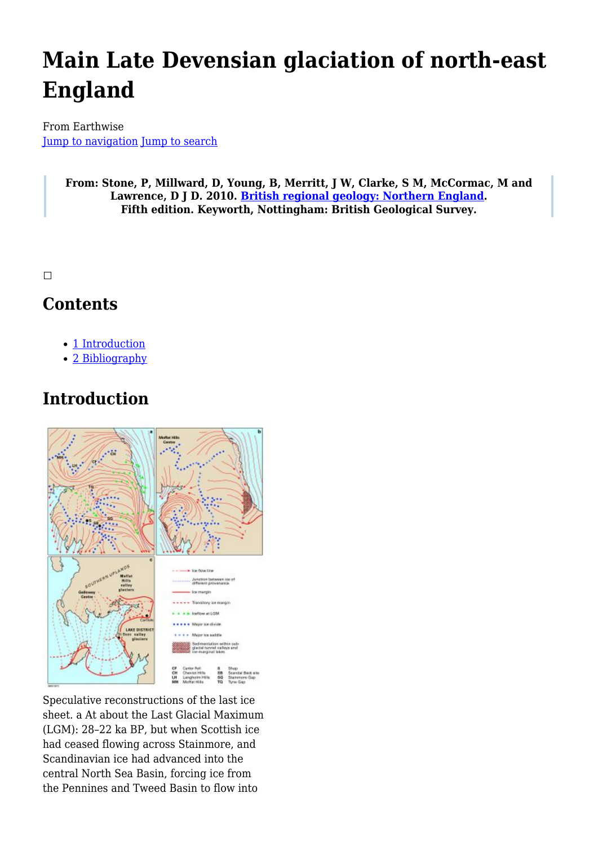# **Main Late Devensian glaciation of north-east England**

From Earthwise [Jump to navigation](#page--1-0) [Jump to search](#page--1-0)

> **From: Stone, P, Millward, D, Young, B, Merritt, J W, Clarke, S M, McCormac, M and Lawrence, D J D. 2010. [British regional geology: Northern England.](http://earthwise.bgs.ac.uk/index.php/British_regional_geology:_Northern_England) Fifth edition. Keyworth, Nottingham: British Geological Survey.**

 $\Box$ 

### **Contents**

- [1](#page--1-0) [Introduction](#page--1-0)
- [2](#page--1-0) [Bibliography](#page--1-0)

## **Introduction**



Speculative reconstructions of the last ice sheet. a At about the Last Glacial Maximum (LGM): 28–22 ka BP, but when Scottish ice had ceased flowing across Stainmore, and Scandinavian ice had advanced into the central North Sea Basin, forcing ice from the Pennines and Tweed Basin to flow into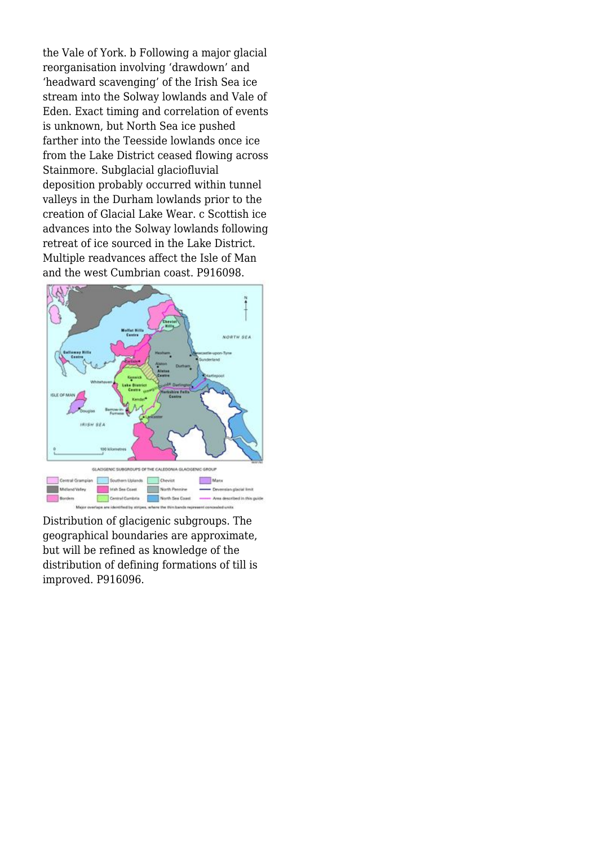the Vale of York. b Following a major glacial reorganisation involving 'drawdown' and 'headward scavenging' of the Irish Sea ice stream into the Solway lowlands and Vale of Eden. Exact timing and correlation of events is unknown, but North Sea ice pushed farther into the Teesside lowlands once ice from the Lake District ceased flowing across Stainmore. Subglacial glaciofluvial deposition probably occurred within tunnel valleys in the Durham lowlands prior to the creation of Glacial Lake Wear. c Scottish ice advances into the Solway lowlands following retreat of ice sourced in the Lake District. Multiple readvances affect the Isle of Man and the west Cumbrian coast. P916098.



Distribution of glacigenic subgroups. The geographical boundaries are approximate, but will be refined as knowledge of the distribution of defining formations of till is improved. P916096.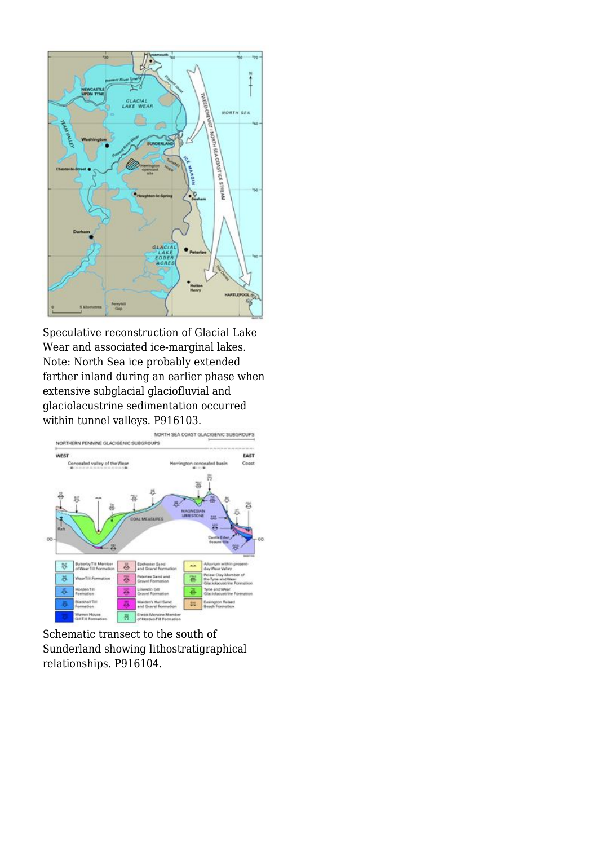

Speculative reconstruction of Glacial Lake Wear and associated ice-marginal lakes. Note: North Sea ice probably extended farther inland during an earlier phase when extensive subglacial glaciofluvial and glaciolacustrine sedimentation occurred within tunnel valleys. P916103.



Schematic transect to the south of Sunderland showing lithostratigraphical relationships. P916104.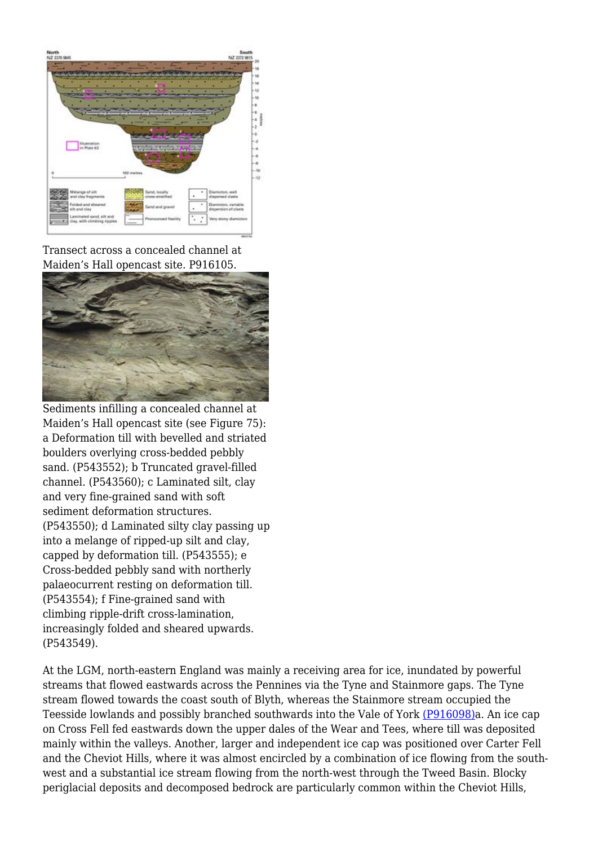

Transect across a concealed channel at Maiden's Hall opencast site. P916105.



Sediments infilling a concealed channel at Maiden's Hall opencast site (see Figure 75): a Deformation till with bevelled and striated boulders overlying cross-bedded pebbly sand. (P543552); b Truncated gravel-filled channel. (P543560); c Laminated silt, clay and very fine-grained sand with soft sediment deformation structures. (P543550); d Laminated silty clay passing up into a melange of ripped-up silt and clay, capped by deformation till. (P543555); e Cross-bedded pebbly sand with northerly palaeocurrent resting on deformation till. (P543554); f Fine-grained sand with climbing ripple-drift cross-lamination, increasingly folded and sheared upwards. (P543549).

At the LGM, north-eastern England was mainly a receiving area for ice, inundated by powerful streams that flowed eastwards across the Pennines via the Tyne and Stainmore gaps. The Tyne stream flowed towards the coast south of Blyth, whereas the Stainmore stream occupied the Teesside lowlands and possibly branched southwards into the Vale of York [\(P916098\)](http://earthwise.bgs.ac.uk/images/2/23/P916098.jpg)a. An ice cap on Cross Fell fed eastwards down the upper dales of the Wear and Tees, where till was deposited mainly within the valleys. Another, larger and independent ice cap was positioned over Carter Fell and the Cheviot Hills, where it was almost encircled by a combination of ice flowing from the southwest and a substantial ice stream flowing from the north-west through the Tweed Basin. Blocky periglacial deposits and decomposed bedrock are particularly common within the Cheviot Hills,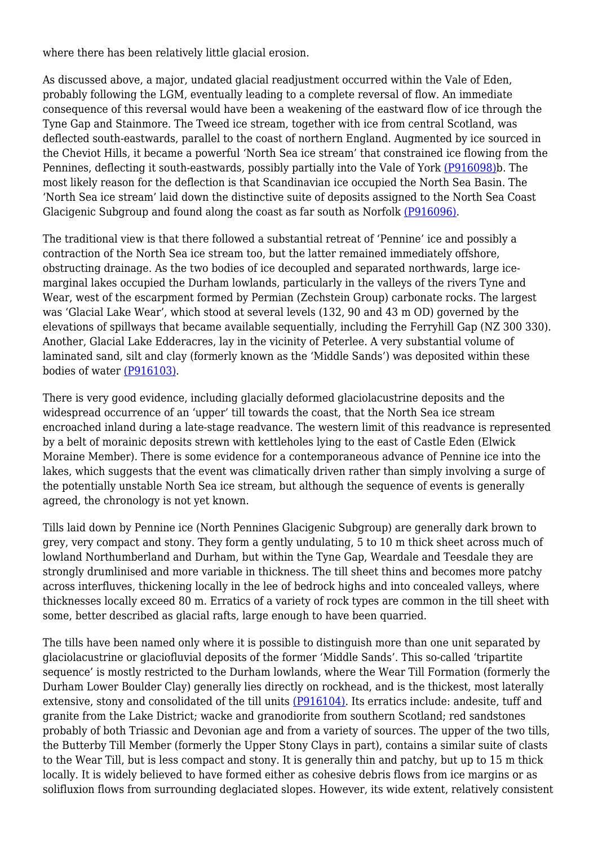where there has been relatively little glacial erosion.

As discussed above, a major, undated glacial readjustment occurred within the Vale of Eden, probably following the LGM, eventually leading to a complete reversal of flow. An immediate consequence of this reversal would have been a weakening of the eastward flow of ice through the Tyne Gap and Stainmore. The Tweed ice stream, together with ice from central Scotland, was deflected south-eastwards, parallel to the coast of northern England. Augmented by ice sourced in the Cheviot Hills, it became a powerful 'North Sea ice stream' that constrained ice flowing from the Pennines, deflecting it south-eastwards, possibly partially into the Vale of York [\(P916098\)](http://earthwise.bgs.ac.uk/images/2/23/P916098.jpg)b. The most likely reason for the deflection is that Scandinavian ice occupied the North Sea Basin. The 'North Sea ice stream' laid down the distinctive suite of deposits assigned to the North Sea Coast Glacigenic Subgroup and found along the coast as far south as Norfolk [\(P916096\)](http://earthwise.bgs.ac.uk/images/6/6a/P916096.jpg).

The traditional view is that there followed a substantial retreat of 'Pennine' ice and possibly a contraction of the North Sea ice stream too, but the latter remained immediately offshore, obstructing drainage. As the two bodies of ice decoupled and separated northwards, large icemarginal lakes occupied the Durham lowlands, particularly in the valleys of the rivers Tyne and Wear, west of the escarpment formed by Permian (Zechstein Group) carbonate rocks. The largest was 'Glacial Lake Wear', which stood at several levels (132, 90 and 43 m OD) governed by the elevations of spillways that became available sequentially, including the Ferryhill Gap (NZ 300 330). Another, Glacial Lake Edderacres, lay in the vicinity of Peterlee. A very substantial volume of laminated sand, silt and clay (formerly known as the 'Middle Sands') was deposited within these bodies of water [\(P916103\)](http://earthwise.bgs.ac.uk/images/f/f6/P916103.jpg).

There is very good evidence, including glacially deformed glaciolacustrine deposits and the widespread occurrence of an 'upper' till towards the coast, that the North Sea ice stream encroached inland during a late-stage readvance. The western limit of this readvance is represented by a belt of morainic deposits strewn with kettleholes lying to the east of Castle Eden (Elwick Moraine Member). There is some evidence for a contemporaneous advance of Pennine ice into the lakes, which suggests that the event was climatically driven rather than simply involving a surge of the potentially unstable North Sea ice stream, but although the sequence of events is generally agreed, the chronology is not yet known.

Tills laid down by Pennine ice (North Pennines Glacigenic Subgroup) are generally dark brown to grey, very compact and stony. They form a gently undulating, 5 to 10 m thick sheet across much of lowland Northumberland and Durham, but within the Tyne Gap, Weardale and Teesdale they are strongly drumlinised and more variable in thickness. The till sheet thins and becomes more patchy across interfluves, thickening locally in the lee of bedrock highs and into concealed valleys, where thicknesses locally exceed 80 m. Erratics of a variety of rock types are common in the till sheet with some, better described as glacial rafts, large enough to have been quarried.

The tills have been named only where it is possible to distinguish more than one unit separated by glaciolacustrine or glaciofluvial deposits of the former 'Middle Sands'. This so-called 'tripartite sequence' is mostly restricted to the Durham lowlands, where the Wear Till Formation (formerly the Durham Lower Boulder Clay) generally lies directly on rockhead, and is the thickest, most laterally extensive, stony and consolidated of the till units [\(P916104\).](http://earthwise.bgs.ac.uk/images/c/ca/P916104.jpg) Its erratics include: andesite, tuff and granite from the Lake District; wacke and granodiorite from southern Scotland; red sandstones probably of both Triassic and Devonian age and from a variety of sources. The upper of the two tills, the Butterby Till Member (formerly the Upper Stony Clays in part), contains a similar suite of clasts to the Wear Till, but is less compact and stony. It is generally thin and patchy, but up to 15 m thick locally. It is widely believed to have formed either as cohesive debris flows from ice margins or as solifluxion flows from surrounding deglaciated slopes. However, its wide extent, relatively consistent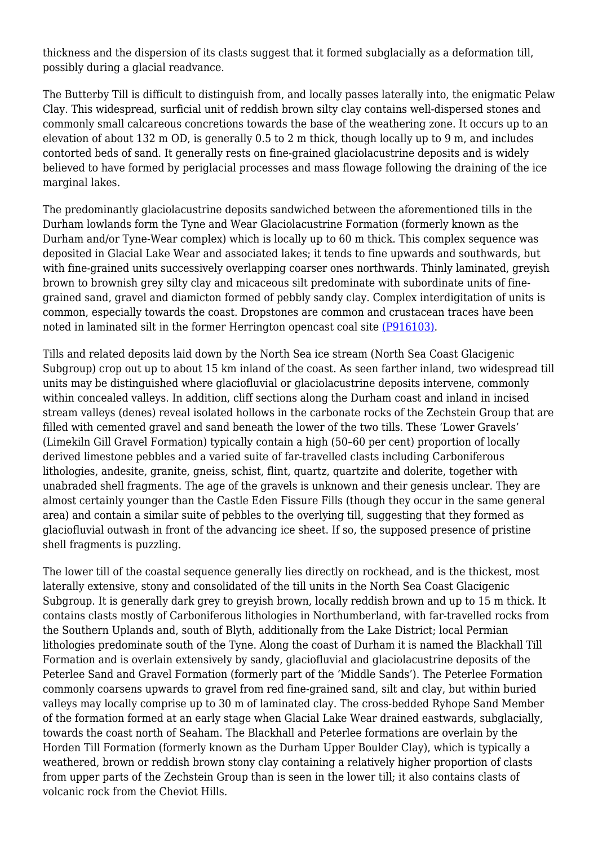thickness and the dispersion of its clasts suggest that it formed subglacially as a deformation till. possibly during a glacial readvance.

The Butterby Till is difficult to distinguish from, and locally passes laterally into, the enigmatic Pelaw Clay. This widespread, surficial unit of reddish brown silty clay contains well-dispersed stones and commonly small calcareous concretions towards the base of the weathering zone. It occurs up to an elevation of about 132 m OD, is generally 0.5 to 2 m thick, though locally up to 9 m, and includes contorted beds of sand. It generally rests on fine-grained glaciolacustrine deposits and is widely believed to have formed by periglacial processes and mass flowage following the draining of the ice marginal lakes.

The predominantly glaciolacustrine deposits sandwiched between the aforementioned tills in the Durham lowlands form the Tyne and Wear Glaciolacustrine Formation (formerly known as the Durham and/or Tyne-Wear complex) which is locally up to 60 m thick. This complex sequence was deposited in Glacial Lake Wear and associated lakes; it tends to fine upwards and southwards, but with fine-grained units successively overlapping coarser ones northwards. Thinly laminated, greyish brown to brownish grey silty clay and micaceous silt predominate with subordinate units of finegrained sand, gravel and diamicton formed of pebbly sandy clay. Complex interdigitation of units is common, especially towards the coast. Dropstones are common and crustacean traces have been noted in laminated silt in the former Herrington opencast coal site [\(P916103\).](http://earthwise.bgs.ac.uk/images/f/f6/P916103.jpg)

Tills and related deposits laid down by the North Sea ice stream (North Sea Coast Glacigenic Subgroup) crop out up to about 15 km inland of the coast. As seen farther inland, two widespread till units may be distinguished where glaciofluvial or glaciolacustrine deposits intervene, commonly within concealed valleys. In addition, cliff sections along the Durham coast and inland in incised stream valleys (denes) reveal isolated hollows in the carbonate rocks of the Zechstein Group that are filled with cemented gravel and sand beneath the lower of the two tills. These 'Lower Gravels' (Limekiln Gill Gravel Formation) typically contain a high (50–60 per cent) proportion of locally derived limestone pebbles and a varied suite of far-travelled clasts including Carboniferous lithologies, andesite, granite, gneiss, schist, flint, quartz, quartzite and dolerite, together with unabraded shell fragments. The age of the gravels is unknown and their genesis unclear. They are almost certainly younger than the Castle Eden Fissure Fills (though they occur in the same general area) and contain a similar suite of pebbles to the overlying till, suggesting that they formed as glaciofluvial outwash in front of the advancing ice sheet. If so, the supposed presence of pristine shell fragments is puzzling.

The lower till of the coastal sequence generally lies directly on rockhead, and is the thickest, most laterally extensive, stony and consolidated of the till units in the North Sea Coast Glacigenic Subgroup. It is generally dark grey to greyish brown, locally reddish brown and up to 15 m thick. It contains clasts mostly of Carboniferous lithologies in Northumberland, with far-travelled rocks from the Southern Uplands and, south of Blyth, additionally from the Lake District; local Permian lithologies predominate south of the Tyne. Along the coast of Durham it is named the Blackhall Till Formation and is overlain extensively by sandy, glaciofluvial and glaciolacustrine deposits of the Peterlee Sand and Gravel Formation (formerly part of the 'Middle Sands'). The Peterlee Formation commonly coarsens upwards to gravel from red fine-grained sand, silt and clay, but within buried valleys may locally comprise up to 30 m of laminated clay. The cross-bedded Ryhope Sand Member of the formation formed at an early stage when Glacial Lake Wear drained eastwards, subglacially, towards the coast north of Seaham. The Blackhall and Peterlee formations are overlain by the Horden Till Formation (formerly known as the Durham Upper Boulder Clay), which is typically a weathered, brown or reddish brown stony clay containing a relatively higher proportion of clasts from upper parts of the Zechstein Group than is seen in the lower till; it also contains clasts of volcanic rock from the Cheviot Hills.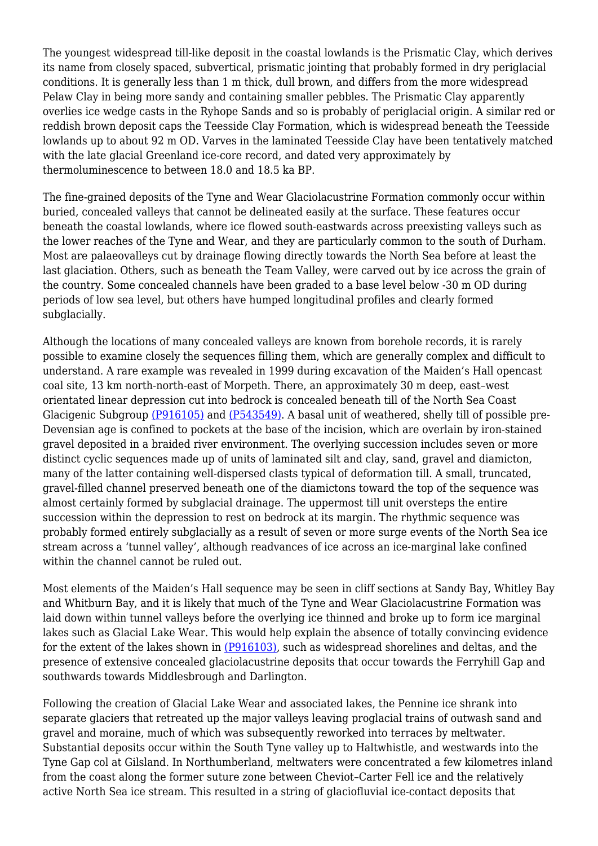The youngest widespread till-like deposit in the coastal lowlands is the Prismatic Clay, which derives its name from closely spaced, subvertical, prismatic jointing that probably formed in dry periglacial conditions. It is generally less than 1 m thick, dull brown, and differs from the more widespread Pelaw Clay in being more sandy and containing smaller pebbles. The Prismatic Clay apparently overlies ice wedge casts in the Ryhope Sands and so is probably of periglacial origin. A similar red or reddish brown deposit caps the Teesside Clay Formation, which is widespread beneath the Teesside lowlands up to about 92 m OD. Varves in the laminated Teesside Clay have been tentatively matched with the late glacial Greenland ice-core record, and dated very approximately by thermoluminescence to between 18.0 and 18.5 ka BP.

The fine-grained deposits of the Tyne and Wear Glaciolacustrine Formation commonly occur within buried, concealed valleys that cannot be delineated easily at the surface. These features occur beneath the coastal lowlands, where ice flowed south-eastwards across preexisting valleys such as the lower reaches of the Tyne and Wear, and they are particularly common to the south of Durham. Most are palaeovalleys cut by drainage flowing directly towards the North Sea before at least the last glaciation. Others, such as beneath the Team Valley, were carved out by ice across the grain of the country. Some concealed channels have been graded to a base level below -30 m OD during periods of low sea level, but others have humped longitudinal profiles and clearly formed subglacially.

Although the locations of many concealed valleys are known from borehole records, it is rarely possible to examine closely the sequences filling them, which are generally complex and difficult to understand. A rare example was revealed in 1999 during excavation of the Maiden's Hall opencast coal site, 13 km north-north-east of Morpeth. There, an approximately 30 m deep, east–west orientated linear depression cut into bedrock is concealed beneath till of the North Sea Coast Glacigenic Subgroup [\(P916105\)](http://earthwise.bgs.ac.uk/images/c/c8/P916105.jpg) and [\(P543549\)](http://earthwise.bgs.ac.uk/images/3/3d/P543549.jpg). A basal unit of weathered, shelly till of possible pre-Devensian age is confined to pockets at the base of the incision, which are overlain by iron-stained gravel deposited in a braided river environment. The overlying succession includes seven or more distinct cyclic sequences made up of units of laminated silt and clay, sand, gravel and diamicton, many of the latter containing well-dispersed clasts typical of deformation till. A small, truncated, gravel-filled channel preserved beneath one of the diamictons toward the top of the sequence was almost certainly formed by subglacial drainage. The uppermost till unit oversteps the entire succession within the depression to rest on bedrock at its margin. The rhythmic sequence was probably formed entirely subglacially as a result of seven or more surge events of the North Sea ice stream across a 'tunnel valley', although readvances of ice across an ice-marginal lake confined within the channel cannot be ruled out.

Most elements of the Maiden's Hall sequence may be seen in cliff sections at Sandy Bay, Whitley Bay and Whitburn Bay, and it is likely that much of the Tyne and Wear Glaciolacustrine Formation was laid down within tunnel valleys before the overlying ice thinned and broke up to form ice marginal lakes such as Glacial Lake Wear. This would help explain the absence of totally convincing evidence for the extent of the lakes shown in [\(P916103\),](http://earthwise.bgs.ac.uk/images/f/f6/P916103.jpg) such as widespread shorelines and deltas, and the presence of extensive concealed glaciolacustrine deposits that occur towards the Ferryhill Gap and southwards towards Middlesbrough and Darlington.

Following the creation of Glacial Lake Wear and associated lakes, the Pennine ice shrank into separate glaciers that retreated up the major valleys leaving proglacial trains of outwash sand and gravel and moraine, much of which was subsequently reworked into terraces by meltwater. Substantial deposits occur within the South Tyne valley up to Haltwhistle, and westwards into the Tyne Gap col at Gilsland. In Northumberland, meltwaters were concentrated a few kilometres inland from the coast along the former suture zone between Cheviot–Carter Fell ice and the relatively active North Sea ice stream. This resulted in a string of glaciofluvial ice-contact deposits that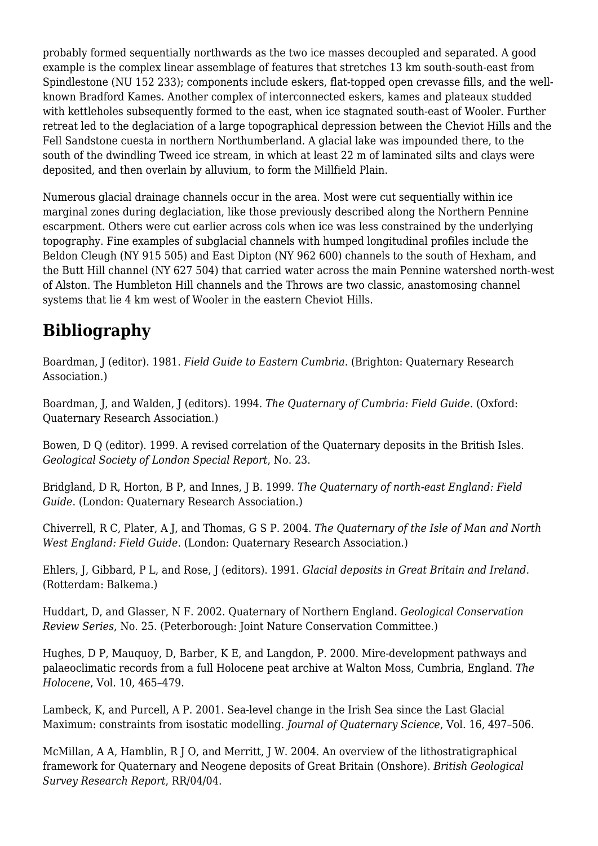probably formed sequentially northwards as the two ice masses decoupled and separated. A good example is the complex linear assemblage of features that stretches 13 km south-south-east from Spindlestone (NU 152 233); components include eskers, flat-topped open crevasse fills, and the wellknown Bradford Kames. Another complex of interconnected eskers, kames and plateaux studded with kettleholes subsequently formed to the east, when ice stagnated south-east of Wooler. Further retreat led to the deglaciation of a large topographical depression between the Cheviot Hills and the Fell Sandstone cuesta in northern Northumberland. A glacial lake was impounded there, to the south of the dwindling Tweed ice stream, in which at least 22 m of laminated silts and clays were deposited, and then overlain by alluvium, to form the Millfield Plain.

Numerous glacial drainage channels occur in the area. Most were cut sequentially within ice marginal zones during deglaciation, like those previously described along the Northern Pennine escarpment. Others were cut earlier across cols when ice was less constrained by the underlying topography. Fine examples of subglacial channels with humped longitudinal profiles include the Beldon Cleugh (NY 915 505) and East Dipton (NY 962 600) channels to the south of Hexham, and the Butt Hill channel (NY 627 504) that carried water across the main Pennine watershed north-west of Alston. The Humbleton Hill channels and the Throws are two classic, anastomosing channel systems that lie 4 km west of Wooler in the eastern Cheviot Hills.

# **Bibliography**

Boardman, J (editor). 1981. *Field Guide to Eastern Cumbria*. (Brighton: Quaternary Research Association.)

Boardman, J, and Walden, J (editors). 1994. *The Quaternary of Cumbria: Field Guide*. (Oxford: Quaternary Research Association.)

Bowen, D Q (editor). 1999. A revised correlation of the Quaternary deposits in the British Isles. *Geological Society of London Special Report*, No. 23.

Bridgland, D R, Horton, B P, and Innes, J B. 1999. *The Quaternary of north-east England: Field Guide*. (London: Quaternary Research Association.)

Chiverrell, R C, Plater, A J, and Thomas, G S P. 2004. *The Quaternary of the Isle of Man and North West England: Field Guide*. (London: Quaternary Research Association.)

Ehlers, J, Gibbard, P L, and Rose, J (editors). 1991. *Glacial deposits in Great Britain and Ireland*. (Rotterdam: Balkema.)

Huddart, D, and Glasser, N F. 2002. Quaternary of Northern England. *Geological Conservation Review Series*, No. 25. (Peterborough: Joint Nature Conservation Committee.)

Hughes, D P, Mauquoy, D, Barber, K E, and Langdon, P. 2000. Mire-development pathways and palaeoclimatic records from a full Holocene peat archive at Walton Moss, Cumbria, England. *The Holocene*, Vol. 10, 465–479.

Lambeck, K, and Purcell, A P. 2001. Sea-level change in the Irish Sea since the Last Glacial Maximum: constraints from isostatic modelling. *Journal of Quaternary Science*, Vol. 16, 497–506.

McMillan, A A, Hamblin, R J O, and Merritt, J W. 2004. An overview of the lithostratigraphical framework for Quaternary and Neogene deposits of Great Britain (Onshore). *British Geological Survey Research Report*, RR/04/04.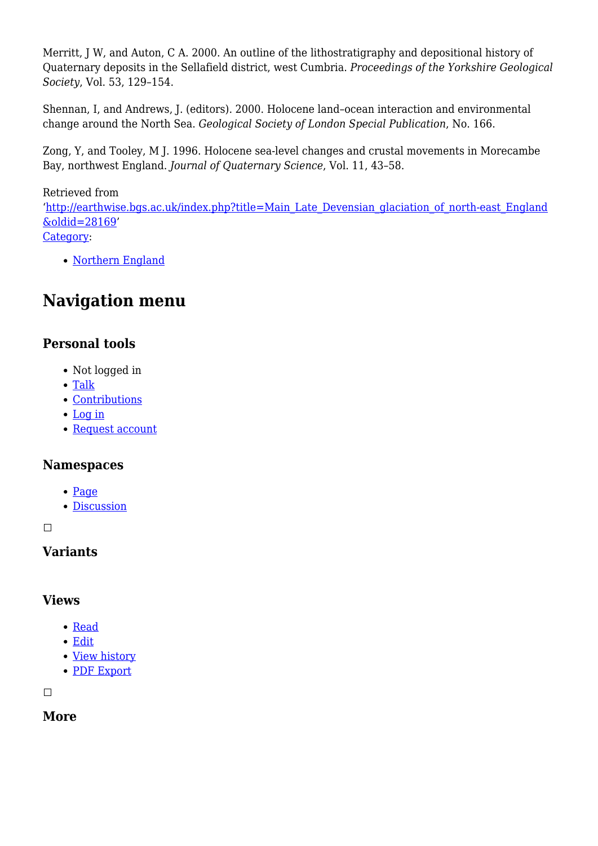Merritt, J W, and Auton, C A. 2000. An outline of the lithostratigraphy and depositional history of Quaternary deposits in the Sellafield district, west Cumbria. *Proceedings of the Yorkshire Geological Society*, Vol. 53, 129–154.

Shennan, I, and Andrews, J. (editors). 2000. Holocene land–ocean interaction and environmental change around the North Sea. *Geological Society of London Special Publication*, No. 166.

Zong, Y, and Tooley, M J. 1996. Holocene sea-level changes and crustal movements in Morecambe Bay, northwest England. *Journal of Quaternary Science*, Vol. 11, 43–58.

#### Retrieved from

'[http://earthwise.bgs.ac.uk/index.php?title=Main\\_Late\\_Devensian\\_glaciation\\_of\\_north-east\\_England](http://earthwise.bgs.ac.uk/index.php?title=Main_Late_Devensian_glaciation_of_north-east_England&oldid=28169) [&oldid=28169](http://earthwise.bgs.ac.uk/index.php?title=Main_Late_Devensian_glaciation_of_north-east_England&oldid=28169)'

[Category](http://earthwise.bgs.ac.uk/index.php/Special:Categories):

• [Northern England](http://earthwise.bgs.ac.uk/index.php/Category:Northern_England)

# **Navigation menu**

#### **Personal tools**

- Not logged in
- [Talk](http://earthwise.bgs.ac.uk/index.php/Special:MyTalk)
- [Contributions](http://earthwise.bgs.ac.uk/index.php/Special:MyContributions)
- [Log in](http://earthwise.bgs.ac.uk/index.php?title=Special:UserLogin&returnto=Main+Late+Devensian+glaciation+of+north-east+England&returntoquery=action%3Dmpdf)
- [Request account](http://earthwise.bgs.ac.uk/index.php/Special:RequestAccount)

#### **Namespaces**

- [Page](http://earthwise.bgs.ac.uk/index.php/Main_Late_Devensian_glaciation_of_north-east_England)
- [Discussion](http://earthwise.bgs.ac.uk/index.php?title=Talk:Main_Late_Devensian_glaciation_of_north-east_England&action=edit&redlink=1)

 $\Box$ 

#### **Variants**

#### **Views**

- [Read](http://earthwise.bgs.ac.uk/index.php/Main_Late_Devensian_glaciation_of_north-east_England)
- [Edit](http://earthwise.bgs.ac.uk/index.php?title=Main_Late_Devensian_glaciation_of_north-east_England&action=edit)
- [View history](http://earthwise.bgs.ac.uk/index.php?title=Main_Late_Devensian_glaciation_of_north-east_England&action=history)
- [PDF Export](http://earthwise.bgs.ac.uk/index.php?title=Main_Late_Devensian_glaciation_of_north-east_England&action=mpdf)

 $\Box$ 

#### **More**